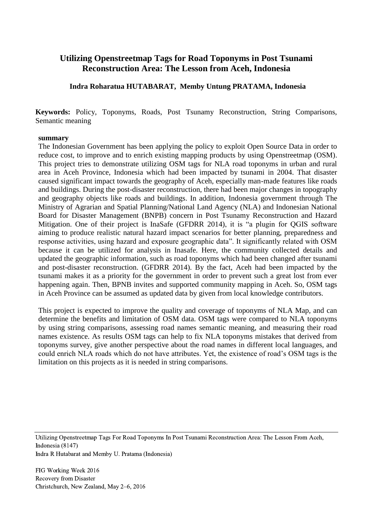## **Utilizing Openstreetmap Tags for Road Toponyms in Post Tsunami Reconstruction Area: The Lesson from Aceh, Indonesia**

**Indra Roharatua HUTABARAT, Memby Untung PRATAMA, Indonesia**

**Keywords:** Policy, Toponyms, Roads, Post Tsunamy Reconstruction, String Comparisons, Semantic meaning

#### **summary**

The Indonesian Government has been applying the policy to exploit Open Source Data in order to reduce cost, to improve and to enrich existing mapping products by using Openstreetmap (OSM). This project tries to demonstrate utilizing OSM tags for NLA road toponyms in urban and rural area in Aceh Province, Indonesia which had been impacted by tsunami in 2004. That disaster caused significant impact towards the geography of Aceh, especially man-made features like roads and buildings. During the post-disaster reconstruction, there had been major changes in topography and geography objects like roads and buildings. In addition, Indonesia government through The Ministry of Agrarian and Spatial Planning/National Land Agency (NLA) and Indonesian National Board for Disaster Management (BNPB) concern in Post Tsunamy Reconstruction and Hazard Mitigation. One of their project is InaSafe (GFDRR 2014), it is "a plugin for QGIS software aiming to produce realistic natural hazard impact scenarios for better planning, preparedness and response activities, using hazard and exposure geographic data". It significantly related with OSM because it can be utilized for analysis in Inasafe. Here, the community collected details and updated the geographic information, such as road toponyms which had been changed after tsunami and post-disaster reconstruction. (GFDRR 2014). By the fact, Aceh had been impacted by the tsunami makes it as a priority for the government in order to prevent such a great lost from ever happening again. Then, BPNB invites and supported community mapping in Aceh. So, OSM tags in Aceh Province can be assumed as updated data by given from local knowledge contributors.

This project is expected to improve the quality and coverage of toponyms of NLA Map, and can determine the benefits and limitation of OSM data. OSM tags were compared to NLA toponyms by using string comparisons, assessing road names semantic meaning, and measuring their road names existence. As results OSM tags can help to fix NLA toponyms mistakes that derived from toponyms survey, give another perspective about the road names in different local languages, and could enrich NLA roads which do not have attributes. Yet, the existence of road's OSM tags is the limitation on this projects as it is needed in string comparisons.

Utilizing Openstreetmap Tags For Road Toponyms In Post Tsunami Reconstruction Area: The Lesson From Aceh, Indonesia (8147)

Indra R Hutabarat and Memby U. Pratama (Indonesia)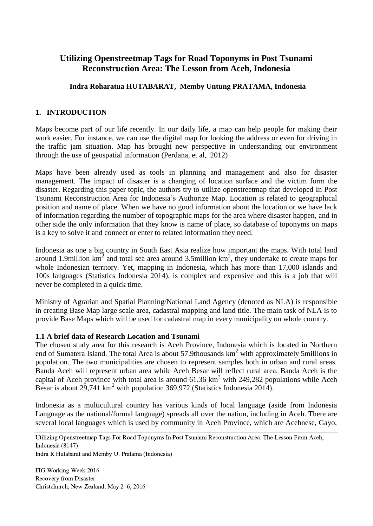# **Utilizing Openstreetmap Tags for Road Toponyms in Post Tsunami Reconstruction Area: The Lesson from Aceh, Indonesia**

## **Indra Roharatua HUTABARAT, Memby Untung PRATAMA, Indonesia**

### **1. INTRODUCTION**

Maps become part of our life recently. In our daily life, a map can help people for making their work easier. For instance, we can use the digital map for looking the address or even for driving in the traffic jam situation. Map has brought new perspective in understanding our environment through the use of geospatial information (Perdana, et al, 2012)

Maps have been already used as tools in planning and management and also for disaster management. The impact of disaster is a changing of location surface and the victim form the disaster. Regarding this paper topic, the authors try to utilize openstreetmap that developed In Post Tsunami Reconstruction Area for Indonesia's Authorize Map. Location is related to geographical position and name of place. When we have no good information about the location or we have lack of information regarding the number of topographic maps for the area where disaster happen, and in other side the only information that they know is name of place, so database of toponyms on maps is a key to solve it and connect or enter to related information they need.

Indonesia as one a big country in South East Asia realize how important the maps. With total land around 1.9million  $km^2$  and total sea area around 3.5million  $km^2$ , they undertake to create maps for whole Indonesian territory. Yet, mapping in Indonesia, which has more than 17,000 islands and 100s languages (Statistics Indonesia 2014), is complex and expensive and this is a job that will never be completed in a quick time.

Ministry of Agrarian and Spatial Planning/National Land Agency (denoted as NLA) is responsible in creating Base Map large scale area, cadastral mapping and land title. The main task of NLA is to provide Base Maps which will be used for cadastral map in every municipality on whole country.

#### **1.1 A brief data of Research Location and Tsunami**

The chosen study area for this research is Aceh Province, Indonesia which is located in Northern end of Sumatera Island. The total Area is about 57.9thousands  $km<sup>2</sup>$  with approximately 5millions in population. The two municipalities are chosen to represent samples both in urban and rural areas. Banda Aceh will represent urban area while Aceh Besar will reflect rural area. Banda Aceh is the capital of Aceh province with total area is around  $61.36 \text{ km}^2$  with 249,282 populations while Aceh Besar is about 29,741 km<sup>2</sup> with population 369,972 (Statistics Indonesia 2014).

Indonesia as a multicultural country has various kinds of local language (aside from Indonesia Language as the national/formal language) spreads all over the nation, including in Aceh. There are several local languages which is used by community in Aceh Province, which are Acehnese, Gayo,

Utilizing Openstreetmap Tags For Road Toponyms In Post Tsunami Reconstruction Area: The Lesson From Aceh, Indonesia (8147)

Indra R Hutabarat and Memby U. Pratama (Indonesia)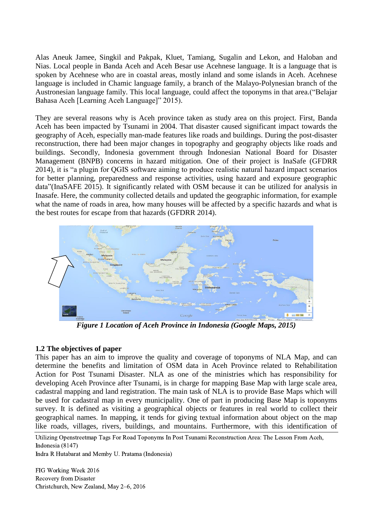Alas Aneuk Jamee, Singkil and Pakpak, Kluet, Tamiang, Sugalin and Lekon, and Haloban and Nias. Local people in Banda Aceh and Aceh Besar use Acehnese language. It is a language that is spoken by Acehnese who are in coastal areas, mostly inland and some islands in Aceh. Acehnese language is included in Chamic language family, a branch of the Malayo-Polynesian branch of the Austronesian language family. This local language, could affect the toponyms in that area.("Belajar Bahasa Aceh [Learning Aceh Language]" 2015).

They are several reasons why is Aceh province taken as study area on this project. First, Banda Aceh has been impacted by Tsunami in 2004. That disaster caused significant impact towards the geography of Aceh, especially man-made features like roads and buildings. During the post-disaster reconstruction, there had been major changes in topography and geography objects like roads and buildings. Secondly, Indonesia government through Indonesian National Board for Disaster Management (BNPB) concerns in hazard mitigation. One of their project is InaSafe (GFDRR 2014), it is "a plugin for QGIS software aiming to produce realistic natural hazard impact scenarios for better planning, preparedness and response activities, using hazard and exposure geographic data"(InaSAFE 2015). It significantly related with OSM because it can be utilized for analysis in Inasafe. Here, the community collected details and updated the geographic information, for example what the name of roads in area, how many houses will be affected by a specific hazards and what is the best routes for escape from that hazards (GFDRR 2014).



*Figure 1 Location of Aceh Province in Indonesia (Google Maps, 2015)*

### **1.2 The objectives of paper**

This paper has an aim to improve the quality and coverage of toponyms of NLA Map, and can determine the benefits and limitation of OSM data in Aceh Province related to Rehabilitation Action for Post Tsunami Disaster. NLA as one of the ministries which has responsibility for developing Aceh Province after Tsunami, is in charge for mapping Base Map with large scale area, cadastral mapping and land registration. The main task of NLA is to provide Base Maps which will be used for cadastral map in every municipality. One of part in producing Base Map is toponyms survey. It is defined as visiting a geographical objects or features in real world to collect their geographical names. In mapping, it tends for giving textual information about object on the map like roads, villages, rivers, buildings, and mountains. Furthermore, with this identification of

Utilizing Openstreetmap Tags For Road Toponyms In Post Tsunami Reconstruction Area: The Lesson From Aceh, Indonesia (8147)

Indra R Hutabarat and Memby U. Pratama (Indonesia)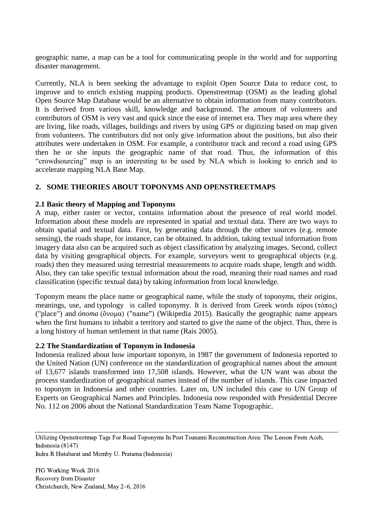geographic name, a map can be a tool for communicating people in the world and for supporting disaster management.

Currently, NLA is been seeking the advantage to exploit Open Source Data to reduce cost, to improve and to enrich existing mapping products. Openstreetmap (OSM) as the leading global Open Source Map Database would be an alternative to obtain information from many contributors. It is derived from various skill, knowledge and background. The amount of volunteers and contributors of OSM is very vast and quick since the ease of internet era. They map area where they are living, like roads, villages, buildings and rivers by using GPS or digitizing based on map given from volunteers. The contributors did not only give information about the positions, but also their attributes were undertaken in OSM. For example, a contributor track and record a road using GPS then he or she inputs the geographic name of that road. Thus, the information of this "crowdsourcing" map is an interesting to be used by NLA which is looking to enrich and to accelerate mapping NLA Base Map.

### **2. SOME THEORIES ABOUT TOPONYMS AND OPENSTREETMAPS**

#### **2.1 Basic theory of Mapping and Toponyms**

A map, either raster or vector, contains information about the presence of real world model. Information about these models are represented in spatial and textual data. There are two ways to obtain spatial and textual data. First, by generating data through the other sources (e.g. remote sensing), the roads shape, for instance, can be obtained. In addition, taking textual information from imagery data also can be acquired such as object classification by analyzing images. Second, collect data by visiting geographical objects. For example, surveyors went to geographical objects (e.g. roads) then they measured using terrestrial measurements to acquire roads shape, length and width. Also, they can take specific textual information about the road, meaning their road names and road classification (specific textual data) by taking information from local knowledge.

Toponym means the place name or geographical name, while the study of toponyms, their origins, meanings, use, and [typology](https://en.wiktionary.org/wiki/typology) is called toponymy. It is derived from Greek words *tópos* (τόπος) ("place") and *ónoma* (ὄνομα) ("name") (Wikipedia 2015). Basically the geographic name appears when the first humans to inhabit a territory and started to give the name of the object. Thus, there is a long history of human settlement in that name (Rais 2005).

#### **2.2 The Standardization of Toponym in Indonesia**

Indonesia realized about how important toponym, in 1987 the government of Indonesia reported to the United Nation (UN) conference on the standardization of geographical names about the amount of 13,677 islands transformed into 17,508 islands. However, what the UN want was about the process standardization of geographical names instead of the number of islands. This case impacted to toponym in Indonesia and other countries. Later on, UN included this case to UN Group of Experts on Geographical Names and Principles. Indonesia now responded with Presidential Decree No. 112 on 2006 about the National Standardization Team Name Topographic.

Utilizing Openstreetmap Tags For Road Toponyms In Post Tsunami Reconstruction Area: The Lesson From Aceh, Indonesia (8147)

Indra R Hutabarat and Memby U. Pratama (Indonesia)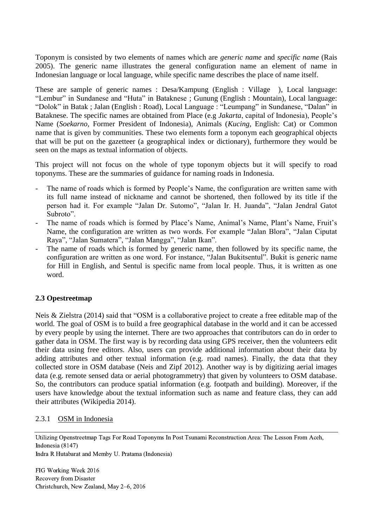Toponym is consisted by two elements of names which are *generic name* and *specific name* (Rais 2005). The generic name illustrates the general configuration name an element of name in Indonesian language or local language, while specific name describes the place of name itself.

These are sample of generic names : Desa/Kampung (English : Village ), Local language: "Lembur" in Sundanese and "Huta" in Bataknese ; Gunung (English : Mountain), Local language: "Dolok" in Batak ; Jalan (English : Road), Local Language : "Leumpang" in Sundanese, "Dalan" in Bataknese. The specific names are obtained from Place (e.g *Jakarta*, capital of Indonesia), People's Name (*Soekarno*, Former President of Indonesia), Animals (*Kucing*, English: Cat) or Common name that is given by communities. These two elements form a toponym each geographical objects that will be put on the gazetteer (a geographical index or dictionary), furthermore they would be seen on the maps as textual information of objects.

This project will not focus on the whole of type toponym objects but it will specify to road toponyms. These are the summaries of guidance for naming roads in Indonesia.

- The name of roads which is formed by People's Name, the configuration are written same with its full name instead of nickname and cannot be shortened, then followed by its title if the person had it. For example "Jalan Dr. Sutomo", "Jalan Ir. H. Juanda", "Jalan Jendral Gatot Subroto".
- The name of roads which is formed by Place's Name, Animal's Name, Plant's Name, Fruit's Name, the configuration are written as two words. For example "Jalan Blora", "Jalan Ciputat Raya", "Jalan Sumatera", "Jalan Mangga", "Jalan Ikan".
- The name of roads which is formed by generic name, then followed by its specific name, the configuration are written as one word. For instance, "Jalan Bukitsentul". Bukit is generic name for Hill in English, and Sentul is specific name from local people. Thus, it is written as one word.

### **2.3 Opestreetmap**

Neis & Zielstra (2014) said that "OSM is a collaborative project to create a free editable map of the world. The goal of OSM is to build a free geographical database in the world and it can be accessed by every people by using the internet. There are two approaches that contributors can do in order to gather data in OSM. The first way is by recording data using GPS receiver, then the volunteers edit their data using free editors. Also, users can provide additional information about their data by adding attributes and other textual information (e.g. road names). Finally, the data that they collected store in OSM database (Neis and Zipf 2012). Another way is by digitizing aerial images data (e.g. remote sensed data or aerial photogrammetry) that given by volunteers to OSM database. So, the contributors can produce spatial information (e.g. footpath and building). Moreover, if the users have knowledge about the textual information such as name and feature class, they can add their attributes (Wikipedia 2014).

### 2.3.1 OSM in Indonesia

Utilizing Openstreetmap Tags For Road Toponyms In Post Tsunami Reconstruction Area: The Lesson From Aceh, Indonesia (8147)

Indra R Hutabarat and Memby U. Pratama (Indonesia)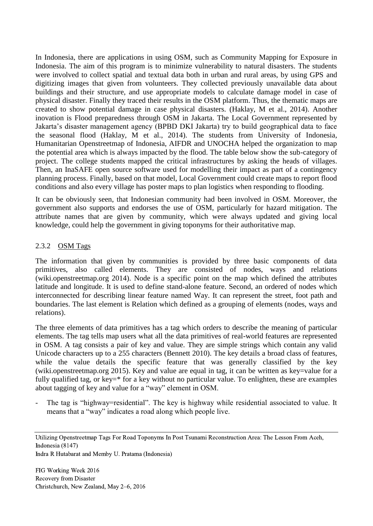In Indonesia, there are applications in using OSM, such as Community Mapping for Exposure in Indonesia. The aim of this program is to minimize vulnerability to natural disasters. The students were involved to collect spatial and textual data both in urban and rural areas, by using GPS and digitizing images that given from volunteers. They collected previously unavailable data about buildings and their structure, and use appropriate models to calculate damage model in case of physical disaster. Finally they traced their results in the OSM platform. Thus, the thematic maps are created to show potential damage in case physical disasters. (Haklay, M et al., 2014). Another inovation is Flood preparedness through OSM in Jakarta. The Local Government represented by Jakarta's disaster management agency (BPBD DKI Jakarta) try to build geographical data to face the seasonal flood (Haklay, M et al., 2014). The students from University of Indonesia, Humanitarian Openstreetmap of Indonesia, AIFDR and UNOCHA helped the organization to map the potential area which is always impacted by the flood. The table below show the sub-category of project. The college students mapped the critical infrastructures by asking the heads of villages. Then, an InaSAFE open source software used for modelling their impact as part of a contingency planning process. Finally, based on that model, Local Government could create maps to report flood conditions and also every village has poster maps to plan logistics when responding to flooding.

It can be obviously seen, that Indonesian community had been involved in OSM. Moreover, the government also supports and endorses the use of OSM, particularly for hazard mitigation. The attribute names that are given by community, which were always updated and giving local knowledge, could help the government in giving toponyms for their authoritative map.

### 2.3.2 OSM Tags

The information that given by communities is provided by three basic components of data primitives, also called elements. They are consisted of nodes, ways and relations (wiki.openstreetmap.org 2014). Node is a specific point on the map which defined the attributes latitude and longitude. It is used to define stand-alone feature. Second, an ordered of nodes which interconnected for describing linear feature named Way. It can represent the street, foot path and boundaries. The last element is Relation which defined as a grouping of elements (nodes, ways and relations).

The three elements of data primitives has a tag which orders to describe the meaning of particular elements. The tag tells map users what all the data primitives of real-world features are represented in OSM. A tag consists a pair of key and value. They are simple strings which contain any valid Unicode characters up to a 255 characters (Bennett 2010). The key details a broad class of features, while the value details the specific feature that was generally classified by the key (wiki.openstreetmap.org 2015). Key and value are equal in tag, it can be written as key=value for a fully qualified tag, or key=\* for a key without no particular value. To enlighten, these are examples about tagging of key and value for a "way" element in OSM.

The tag is "highway=residential". The key is highway while residential associated to value. It means that a "way" indicates a road along which people live.

Utilizing Openstreetmap Tags For Road Toponyms In Post Tsunami Reconstruction Area: The Lesson From Aceh, Indonesia (8147) Indra R Hutabarat and Memby U. Pratama (Indonesia)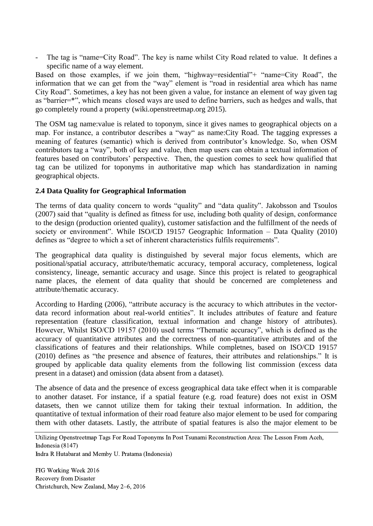The tag is "name=City Road". The key is name whilst City Road related to value. It defines a specific name of a way element.

Based on those examples, if we join them, "highway=residential"+ "name=City Road", the information that we can get from the "way" element is "road in residential area which has name City Road". Sometimes, a key has not been given a value, for instance an element of way given tag as "barrier=\*", which means closed ways are used to define barriers, such as hedges and walls, that go completely round a property (wiki.openstreetmap.org 2015).

The OSM tag name:value is related to toponym, since it gives names to geographical objects on a map. For instance, a contributor describes a "way" as name:City Road. The tagging expresses a meaning of features (semantic) which is derived from contributor's knowledge. So, when OSM contributors tag a "way", both of key and value, then map users can obtain a textual information of features based on contributors' perspective. Then, the question comes to seek how qualified that tag can be utilized for toponyms in authoritative map which has standardization in naming geographical objects.

### **2.4 Data Quality for Geographical Information**

The terms of data quality concern to words "quality" and "data quality". Jakobsson and Tsoulos (2007) said that "quality is defined as fitness for use, including both quality of design, conformance to the design (production oriented quality), customer satisfaction and the fulfillment of the needs of society or environment". While ISO/CD 19157 Geographic Information – Data Quality (2010) defines as "degree to which a set of inherent characteristics fulfils requirements".

The geographical data quality is distinguished by several major focus elements, which are positional/spatial accuracy, attribute/thematic accuracy, temporal accuracy, completeness, logical consistency, lineage, semantic accuracy and usage. Since this project is related to geographical name places, the element of data quality that should be concerned are completeness and attribute/thematic accuracy.

According to Harding (2006), "attribute accuracy is the accuracy to which attributes in the vectordata record information about real-world entities". It includes attributes of feature and feature representation (feature classification, textual information and change history of attributes). However, Whilst ISO/CD 19157 (2010) used terms "Thematic accuracy", which is defined as the accuracy of quantitative attributes and the correctness of non-quantitative attributes and of the classifications of features and their relationships. While completnes, based on ISO/CD 19157 (2010) defines as "the presence and absence of features, their attributes and relationships." It is grouped by applicable data quality elements from the following list commission (excess data present in a dataset) and omission (data absent from a dataset).

The absence of data and the presence of excess geographical data take effect when it is comparable to another dataset. For instance, if a spatial feature (e.g. road feature) does not exist in OSM datasets, then we cannot utilize them for taking their textual information. In addition, the quantitative of textual information of their road feature also major element to be used for comparing them with other datasets. Lastly, the attribute of spatial features is also the major element to be

Indra R Hutabarat and Memby U. Pratama (Indonesia)

Utilizing Openstreetmap Tags For Road Toponyms In Post Tsunami Reconstruction Area: The Lesson From Aceh, Indonesia (8147)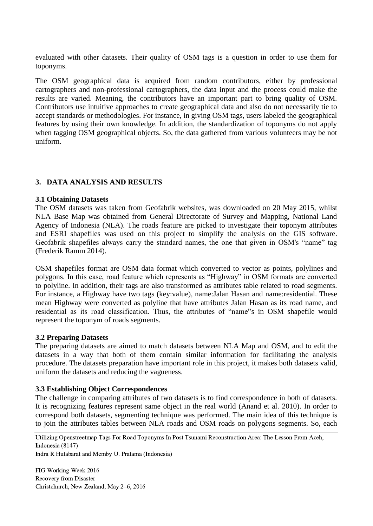evaluated with other datasets. Their quality of OSM tags is a question in order to use them for toponyms.

The OSM geographical data is acquired from random contributors, either by professional cartographers and non-professional cartographers, the data input and the process could make the results are varied. Meaning, the contributors have an important part to bring quality of OSM. Contributors use intuitive approaches to create geographical data and also do not necessarily tie to accept standards or methodologies. For instance, in giving OSM tags, users labeled the geographical features by using their own knowledge. In addition, the standardization of toponyms do not apply when tagging OSM geographical objects. So, the data gathered from various volunteers may be not uniform.

### **3. DATA ANALYSIS AND RESULTS**

#### **3.1 Obtaining Datasets**

The OSM datasets was taken from Geofabrik websites, was downloaded on 20 May 2015, whilst NLA Base Map was obtained from General Directorate of Survey and Mapping, National Land Agency of Indonesia (NLA). The roads feature are picked to investigate their toponym attributes and ESRI shapefiles was used on this project to simplify the analysis on the GIS software. Geofabrik shapefiles always carry the standard names, the one that given in OSM's "name" tag (Frederik Ramm 2014).

OSM shapefiles format are OSM data format which converted to vector as points, polylines and polygons. In this case, road feature which represents as "Highway" in OSM formats are converted to polyline. In addition, their tags are also transformed as attributes table related to road segments. For instance, a Highway have two tags (key:value), name:Jalan Hasan and name:residential. These mean Highway were converted as polyline that have attributes Jalan Hasan as its road name, and residential as its road classification. Thus, the attributes of "name"s in OSM shapefile would represent the toponym of roads segments.

#### **3.2 Preparing Datasets**

The preparing datasets are aimed to match datasets between NLA Map and OSM, and to edit the datasets in a way that both of them contain similar information for facilitating the analysis procedure. The datasets preparation have important role in this project, it makes both datasets valid, uniform the datasets and reducing the vagueness.

### **3.3 Establishing Object Correspondences**

The challenge in comparing attributes of two datasets is to find correspondence in both of datasets. It is recognizing features represent same object in the real world (Anand et al. 2010). In order to correspond both datasets, segmenting technique was performed. The main idea of this technique is to join the attributes tables between NLA roads and OSM roads on polygons segments. So, each

Utilizing Openstreetmap Tags For Road Toponyms In Post Tsunami Reconstruction Area: The Lesson From Aceh, Indonesia (8147)

Indra R Hutabarat and Memby U. Pratama (Indonesia)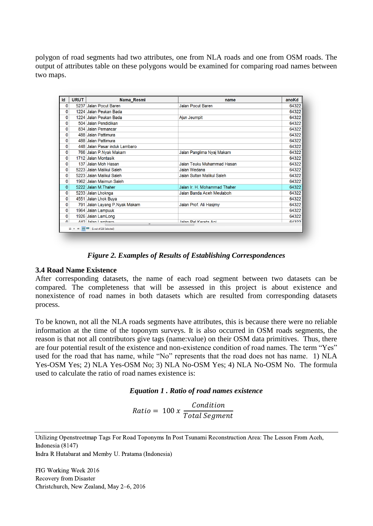polygon of road segments had two attributes, one from NLA roads and one from OSM roads. The output of attributes table on these polygons would be examined for comparing road names between two maps.

| Id           | <b>URUT</b> | Nama Resmi                        | name                         | anoKd |  |  |  |
|--------------|-------------|-----------------------------------|------------------------------|-------|--|--|--|
| 0            |             | 5237 Jalan Pocut Baren            | Jalan Pocut Baren            | 64322 |  |  |  |
| $\mathbf{0}$ |             | 1224 Jalan Peukan Bada            |                              | 64322 |  |  |  |
| $\mathbf 0$  |             | 1224 Jalan Peukan Bada            | Ajun Jeumpit                 | 64322 |  |  |  |
| 0            |             | 504 Jalan Pendidikan              |                              | 64322 |  |  |  |
| 0            |             | 834 Jalan Pemancar                |                              | 64322 |  |  |  |
| 0            |             | 488 Jalan Pattimura               |                              | 64322 |  |  |  |
| $\mathbf 0$  |             | 488 Jalan Pattimura               |                              | 64322 |  |  |  |
| 0            |             | 448 Jalan Pasar induk Lambaro     |                              | 64322 |  |  |  |
| 0            |             | 766 Jalan P.Nyak Makam            | Jalan Panglima Nyaj Makam    | 64322 |  |  |  |
| 0            |             | 1712 Jalan Montasik               |                              | 64322 |  |  |  |
| 0            |             | 137 Jalan Moh Hasan               | Jalan Teuku Muhammad Hasan   | 64322 |  |  |  |
| 0            |             | 5223 Jalan Malikul Saleh          | Jalan Wedana                 | 64322 |  |  |  |
| 0            |             | 5223 Jalan Malikul Saleh          | Jalan Sultan Malikul Saleh   | 64322 |  |  |  |
| 0            |             | 1962 Jalan Maimun Saleh           |                              | 64322 |  |  |  |
| $\mathbf 0$  |             | 5222 Jalan M. Thaher              | Jalan Ir. H. Mohammad Thaher | 64322 |  |  |  |
| 0            |             | 5233 Jalan Lhoknga                | Jalan Banda Aceh Meulaboh    | 64322 |  |  |  |
| 0            |             | 4551 Jalan Lhok Buya              |                              | 64322 |  |  |  |
| 0            |             | 791 Jalan Layang P.Nyak Makam     | Jalan Prof. Ali Hasjmy       | 64322 |  |  |  |
| 0            |             | 1964 Jalan Lampuuk                |                              | 64322 |  |  |  |
| 0            |             | 1926 Jalan LamLong                |                              | 64322 |  |  |  |
| n.           |             | 442 Jolan Lambaro<br>$\mathbf{m}$ | Jolan Pel Kereta Ani         | 61322 |  |  |  |
|              |             |                                   |                              |       |  |  |  |

*Figure 2. Examples of Results of Establishing Correspondences*

### **3.4 Road Name Existence**

After corresponding datasets, the name of each road segment between two datasets can be compared. The completeness that will be assessed in this project is about existence and nonexistence of road names in both datasets which are resulted from corresponding datasets process.

To be known, not all the NLA roads segments have attributes, this is because there were no reliable information at the time of the toponym surveys. It is also occurred in OSM roads segments, the reason is that not all contributors give tags (name:value) on their OSM data primitives. Thus, there are four potential result of the existence and non-existence condition of road names. The term "Yes" used for the road that has name, while "No" represents that the road does not has name. 1) NLA Yes-OSM Yes; 2) NLA Yes-OSM No; 3) NLA No-OSM Yes; 4) NLA No-OSM No. The formula used to calculate the ratio of road names existence is:

#### *Equation 1 . Ratio of road names existence*

 $Ratio = 100 x$ Condition Total Segment

Utilizing Openstreetmap Tags For Road Toponyms In Post Tsunami Reconstruction Area: The Lesson From Aceh, Indonesia (8147) Indra R Hutabarat and Memby U. Pratama (Indonesia)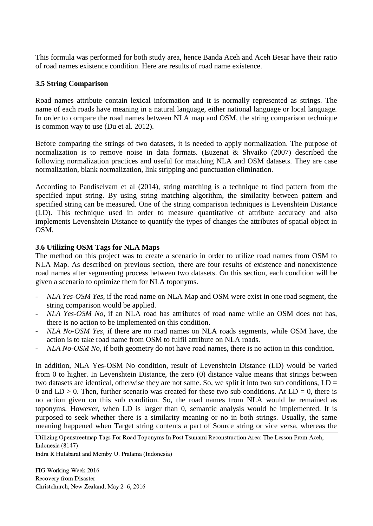This formula was performed for both study area, hence Banda Aceh and Aceh Besar have their ratio of road names existence condition. Here are results of road name existence.

### **3.5 String Comparison**

Road names attribute contain lexical information and it is normally represented as strings. The name of each roads have meaning in a natural language, either national language or local language. In order to compare the road names between NLA map and OSM, the string comparison technique is common way to use (Du et al. 2012).

Before comparing the strings of two datasets, it is needed to apply normalization. The purpose of normalization is to remove noise in data formats. (Euzenat & Shvaiko (2007) described the following normalization practices and useful for matching NLA and OSM datasets. They are case normalization, blank normalization, link stripping and punctuation elimination.

According to Pandiselvam et al (2014), string matching is a technique to find pattern from the specified input string. By using string matching algorithm, the similarity between pattern and specified string can be measured. One of the string comparison techniques is Levenshtein Distance (LD). This technique used in order to measure quantitative of attribute accuracy and also implements Levenshtein Distance to quantify the types of changes the attributes of spatial object in OSM.

#### **3.6 Utilizing OSM Tags for NLA Maps**

The method on this project was to create a scenario in order to utilize road names from OSM to NLA Map. As described on previous section, there are four results of existence and nonexistence road names after segmenting process between two datasets. On this section, each condition will be given a scenario to optimize them for NLA toponyms.

- *NLA Yes-OSM Yes,* if the road name on NLA Map and OSM were exist in one road segment, the string comparison would be applied.
- *NLA Yes-OSM No,* if an NLA road has attributes of road name while an OSM does not has, there is no action to be implemented on this condition.
- *NLA No-OSM Yes*, if there are no road names on NLA roads segments, while OSM have, the action is to take road name from OSM to fulfil attribute on NLA roads.
- *NLA No-OSM No,* if both geometry do not have road names, there is no action in this condition.

In addition, NLA Yes-OSM No condition, result of Levenshtein Distance (LD) would be varied from 0 to higher. In Levenshtein Distance, the zero (0) distance value means that strings between two datasets are identical, otherwise they are not same. So, we split it into two sub conditions, LD = 0 and  $LD > 0$ . Then, further scenario was created for these two sub conditions. At  $LD = 0$ , there is no action given on this sub condition. So, the road names from NLA would be remained as toponyms. However, when LD is larger than 0, semantic analysis would be implemented. It is purposed to seek whether there is a similarity meaning or no in both strings. Usually, the same meaning happened when Target string contents a part of Source string or vice versa, whereas the

Utilizing Openstreetmap Tags For Road Toponyms In Post Tsunami Reconstruction Area: The Lesson From Aceh, Indonesia (8147)

Indra R Hutabarat and Memby U. Pratama (Indonesia)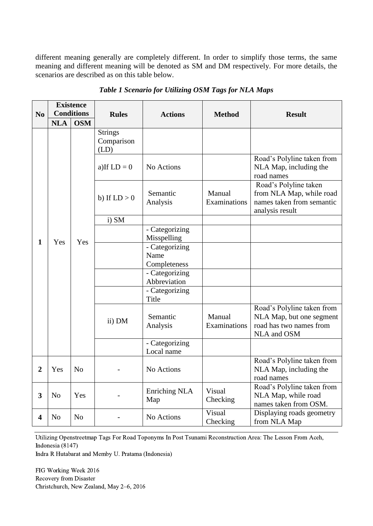different meaning generally are completely different. In order to simplify those terms, the same meaning and different meaning will be denoted as SM and DM respectively. For more details, the scenarios are described as on this table below.

|                |                | <b>Existence</b>  |                                      |                                        |                        |                                                                                                   |
|----------------|----------------|-------------------|--------------------------------------|----------------------------------------|------------------------|---------------------------------------------------------------------------------------------------|
| N <sub>0</sub> |                | <b>Conditions</b> | <b>Rules</b>                         | <b>Actions</b>                         | <b>Method</b>          | <b>Result</b>                                                                                     |
|                | <b>NLA</b>     | <b>OSM</b>        |                                      |                                        |                        |                                                                                                   |
|                |                |                   | <b>Strings</b><br>Comparison<br>(LD) |                                        |                        |                                                                                                   |
|                |                |                   | a) If $LD = 0$                       | No Actions                             |                        | Road's Polyline taken from<br>NLA Map, including the<br>road names                                |
|                |                |                   | b) If $LD > 0$                       | Semantic<br>Analysis                   | Manual<br>Examinations | Road's Polyline taken<br>from NLA Map, while road<br>names taken from semantic<br>analysis result |
|                |                |                   | i) SM                                |                                        |                        |                                                                                                   |
| 1              | Yes            | Yes               |                                      | - Categorizing<br>Misspelling          |                        |                                                                                                   |
|                |                |                   |                                      | - Categorizing<br>Name<br>Completeness |                        |                                                                                                   |
|                |                |                   |                                      | - Categorizing<br>Abbreviation         |                        |                                                                                                   |
|                |                |                   |                                      | - Categorizing<br>Title                |                        |                                                                                                   |
|                |                |                   | ii) DM                               | Semantic<br>Analysis                   | Manual<br>Examinations | Road's Polyline taken from<br>NLA Map, but one segment<br>road has two names from<br>NLA and OSM  |
|                |                |                   |                                      | - Categorizing<br>Local name           |                        |                                                                                                   |
| $\overline{2}$ | Yes            | N <sub>o</sub>    |                                      | No Actions                             |                        | Road's Polyline taken from<br>NLA Map, including the<br>road names                                |
| 3              | N <sub>o</sub> | Yes               |                                      | Enriching NLA<br>Map                   | Visual<br>Checking     | Road's Polyline taken from<br>NLA Map, while road<br>names taken from OSM.                        |
| 4              | N <sub>0</sub> | N <sub>o</sub>    |                                      | No Actions                             | Visual<br>Checking     | Displaying roads geometry<br>from NLA Map                                                         |

*Table 1 Scenario for Utilizing OSM Tags for NLA Maps*

Utilizing Openstreetmap Tags For Road Toponyms In Post Tsunami Reconstruction Area: The Lesson From Aceh, Indonesia (8147)

Indra R Hutabarat and Memby U. Pratama (Indonesia)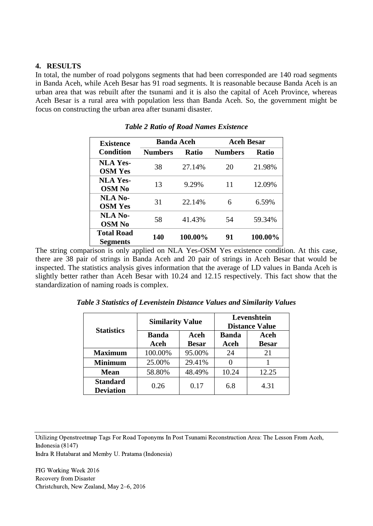### **4. RESULTS**

In total, the number of road polygons segments that had been corresponded are 140 road segments in Banda Aceh, while Aceh Besar has 91 road segments. It is reasonable because Banda Aceh is an urban area that was rebuilt after the tsunami and it is also the capital of Aceh Province, whereas Aceh Besar is a rural area with population less than Banda Aceh. So, the government might be focus on constructing the urban area after tsunami disaster.

| <b>Existence</b>  | <b>Banda Aceh</b> |         | <b>Aceh Besar</b> |              |  |
|-------------------|-------------------|---------|-------------------|--------------|--|
| <b>Condition</b>  | <b>Numbers</b>    | Ratio   | <b>Numbers</b>    | <b>Ratio</b> |  |
| <b>NLA Yes-</b>   | 38                | 27.14%  | 20                | 21.98%       |  |
| <b>OSM Yes</b>    |                   |         |                   |              |  |
| <b>NLA Yes-</b>   | 13                | 9.29%   | 11                | 12.09%       |  |
| <b>OSM No</b>     |                   |         |                   |              |  |
| <b>NLA No-</b>    | 31                | 22.14%  | 6                 | 6.59%        |  |
| <b>OSM Yes</b>    |                   |         |                   |              |  |
| <b>NLA No-</b>    | 58                | 41.43%  | 54                | 59.34%       |  |
| <b>OSM No</b>     |                   |         |                   |              |  |
| <b>Total Road</b> | 140               | 100.00% | 91                | 100.00%      |  |
| <b>Segments</b>   |                   |         |                   |              |  |

*Table 2 Ratio of Road Names Existence*

The string comparison is only applied on NLA Yes-OSM Yes existence condition. At this case, there are 38 pair of strings in Banda Aceh and 20 pair of strings in Aceh Besar that would be inspected. The statistics analysis gives information that the average of LD values in Banda Aceh is slightly better rather than Aceh Besar with 10.24 and 12.15 respectively. This fact show that the standardization of naming roads is complex.

| <b>Statistics</b>                   | <b>Similarity Value</b> |                      | Levenshtein<br><b>Distance Value</b> |                      |  |
|-------------------------------------|-------------------------|----------------------|--------------------------------------|----------------------|--|
|                                     | <b>Banda</b><br>Aceh    | Aceh<br><b>Besar</b> | <b>Banda</b><br><b>Aceh</b>          | Aceh<br><b>Besar</b> |  |
| <b>Maximum</b>                      | 100.00%                 | 95.00%               | 24                                   | 21                   |  |
| <b>Minimum</b>                      | 25.00%                  | 29.41%               |                                      |                      |  |
| <b>Mean</b>                         | 58.80%                  | 48.49%               | 10.24                                | 12.25                |  |
| <b>Standard</b><br><b>Deviation</b> | 0.26                    | 0.17                 | 6.8                                  | 4.31                 |  |

*Table 3 Statistics of Levenistein Distance Values and Similarity Values*

Utilizing Openstreetmap Tags For Road Toponyms In Post Tsunami Reconstruction Area: The Lesson From Aceh, Indonesia (8147)

Indra R Hutabarat and Memby U. Pratama (Indonesia)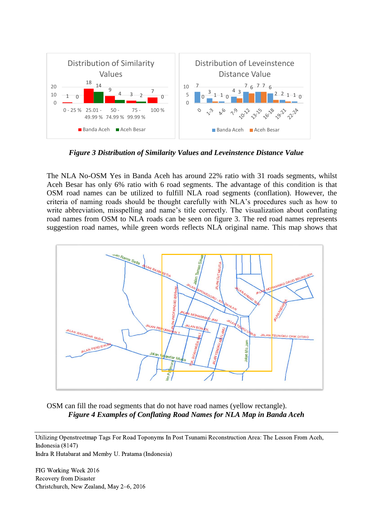

*Figure 3 Distribution of Similarity Values and Leveinstence Distance Value*

The NLA No-OSM Yes in Banda Aceh has around 22% ratio with 31 roads segments, whilst Aceh Besar has only 6% ratio with 6 road segments. The advantage of this condition is that OSM road names can be utilized to fulfill NLA road segments (conflation). However, the criteria of naming roads should be thought carefully with NLA's procedures such as how to write abbreviation, misspelling and name's title correctly. The visualization about conflating road names from OSM to NLA roads can be seen on figure 3. The red road names represents suggestion road names, while green words reflects NLA original name. This map shows that



OSM can fill the road segments that do not have road names (yellow rectangle). *Figure 4 Examples of Conflating Road Names for NLA Map in Banda Aceh*

Utilizing Openstreetmap Tags For Road Toponyms In Post Tsunami Reconstruction Area: The Lesson From Aceh, Indonesia (8147) Indra R Hutabarat and Memby U. Pratama (Indonesia)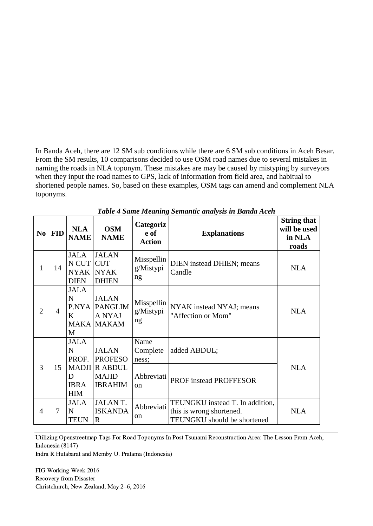In Banda Aceh, there are 12 SM sub conditions while there are 6 SM sub conditions in Aceh Besar. From the SM results, 10 comparisons decided to use OSM road names due to several mistakes in naming the roads in NLA toponym. These mistakes are may be caused by mistyping by surveyors when they input the road names to GPS, lack of information from field area, and habitual to shortened people names. So, based on these examples, OSM tags can amend and complement NLA toponyms.

| N <sub>0</sub> | <b>FID</b>     | <b>NLA</b><br><b>NAME</b>                                             | <b>OSM</b><br><b>NAME</b>                                                                | Categoriz<br>e of<br><b>Action</b>            | <b>Explanations</b>                                                                        | <b>String that</b><br>will be used<br>in NLA<br>roads |
|----------------|----------------|-----------------------------------------------------------------------|------------------------------------------------------------------------------------------|-----------------------------------------------|--------------------------------------------------------------------------------------------|-------------------------------------------------------|
| $\mathbf{1}$   | 14             | <b>JALA</b><br>N CUT CUT<br><b>NYAK</b><br><b>DIEN</b>                | <b>JALAN</b><br><b>NYAK</b><br><b>DHIEN</b>                                              | Misspellin<br>g/Mistypi<br>ng                 | <b>DIEN</b> instead DHIEN; means<br>Candle                                                 | <b>NLA</b>                                            |
| $\overline{2}$ | $\overline{4}$ | <b>JALA</b><br>$\mathbf N$<br>K<br>M                                  | <b>JALAN</b><br><b>P.NYA PANGLIM</b><br>A NYAJ<br><b>MAKA MAKAM</b>                      | Misspellin<br>g/Mistypi<br>ng                 | NYAK instead NYAJ; means<br>"Affection or Mom"                                             | <b>NLA</b>                                            |
| 3              | 15             | <b>JALA</b><br>$\mathbf N$<br>PROF.<br>D<br><b>IBRA</b><br><b>HIM</b> | <b>JALAN</b><br><b>PROFESO</b><br><b>MADJI R ABDUL</b><br><b>MAJID</b><br><b>IBRAHIM</b> | Name<br>Complete<br>ness;<br>Abbreviati<br>on | added ABDUL;<br>PROF instead PROFFESOR                                                     | <b>NLA</b>                                            |
| 4              | 7              | <b>JALA</b><br>N<br><b>TEUN</b>                                       | <b>JALANT.</b><br><b>ISKANDA</b><br>$\mathbb{R}$                                         | Abbreviati<br><sub>on</sub>                   | TEUNGKU instead T. In addition,<br>this is wrong shortened.<br>TEUNGKU should be shortened | <b>NLA</b>                                            |

*Table 4 Same Meaning Semantic analysis in Banda Aceh*

Utilizing Openstreetmap Tags For Road Toponyms In Post Tsunami Reconstruction Area: The Lesson From Aceh, Indonesia (8147)

Indra R Hutabarat and Memby U. Pratama (Indonesia)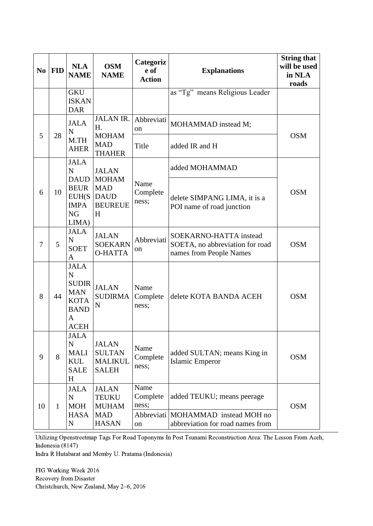| N <sub>0</sub> | <b>FID</b>   | <b>NLA</b><br><b>NAME</b>                                                                                  | <b>OSM</b><br><b>NAME</b>                                       | Categoriz<br>e of<br><b>Action</b> | <b>Explanations</b>                                                                  | <b>String that</b><br>will be used<br>in NLA<br>roads |
|----------------|--------------|------------------------------------------------------------------------------------------------------------|-----------------------------------------------------------------|------------------------------------|--------------------------------------------------------------------------------------|-------------------------------------------------------|
|                |              | <b>GKU</b><br><b>ISKAN</b><br><b>DAR</b>                                                                   |                                                                 |                                    | as "Tg" means Religious Leader                                                       |                                                       |
| 5              | 28           | <b>JALA</b><br>$\mathbf N$                                                                                 | <b>JALAN IR.</b><br>Η.<br><b>MOHAM</b>                          | Abbreviati<br>on                   | MOHAMMAD instead M;                                                                  | <b>OSM</b>                                            |
|                |              | M.TH<br><b>AHER</b>                                                                                        | <b>MAD</b><br><b>THAHER</b>                                     | Title                              | added IR and H                                                                       |                                                       |
|                |              | <b>JALA</b><br>${\bf N}$<br><b>DAUD</b>                                                                    | <b>JALAN</b><br><b>MOHAM</b>                                    |                                    | added MOHAMMAD                                                                       |                                                       |
| 6              | 10           | <b>BEUR</b><br>EUH(S)<br><b>IMPA</b><br><b>NG</b><br>LIMA)                                                 | <b>MAD</b><br><b>DAUD</b><br><b>BEUREUE</b><br>H                | Name<br>Complete<br>ness;          | delete SIMPANG LIMA, it is a<br>POI name of road junction                            | <b>OSM</b>                                            |
| 7              | 5            | <b>JALA</b><br>$\mathbf N$<br><b>SOET</b><br>A                                                             | <b>JALAN</b><br><b>SOEKARN</b><br><b>O-HATTA</b>                | Abbreviati<br>on                   | SOEKARNO-HATTA instead<br>SOETA, no abbreviation for road<br>names from People Names | <b>OSM</b>                                            |
| 8              | 44           | <b>JALA</b><br>$\mathbf N$<br><b>SUDIR</b><br><b>MAN</b><br><b>KOTA</b><br><b>BAND</b><br>A<br><b>ACEH</b> | <b>JALAN</b><br><b>SUDIRMA</b><br>$\mathbf N$                   | Name<br>Complete<br>ness;          | delete KOTA BANDA ACEH                                                               | <b>OSM</b>                                            |
| 9              | 8            | <b>JALA</b><br>$\mathbf N$<br><b>MALI</b><br><b>KUL</b><br><b>SALE</b><br>H                                | <b>JALAN</b><br><b>SULTAN</b><br><b>MALIKUL</b><br><b>SALEH</b> | Name<br>Complete<br>ness;          | added SULTAN; means King in<br><b>Islamic Emperor</b>                                | <b>OSM</b>                                            |
| 10             | $\mathbf{1}$ | <b>JALA</b><br>$\mathbf N$<br><b>MOH</b><br><b>HASA</b>                                                    | <b>JALAN</b><br><b>TEUKU</b><br><b>MUHAM</b><br><b>MAD</b>      | Name<br>Complete<br>ness;          | added TEUKU; means peerage<br>Abbreviati MOHAMMAD instead MOH no                     | <b>OSM</b>                                            |
|                |              | $\mathbf N$                                                                                                | <b>HASAN</b>                                                    | on                                 | abbreviation for road names from                                                     |                                                       |

Utilizing Openstreetmap Tags For Road Toponyms In Post Tsunami Reconstruction Area: The Lesson From Aceh, Indonesia (8147)

Indra R Hutabarat and Memby U. Pratama (Indonesia)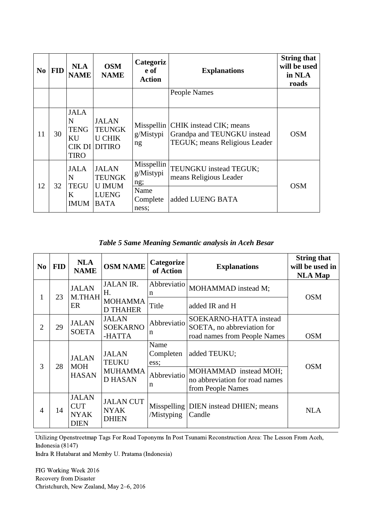| N <sub>0</sub> | <b>FID</b> | <b>NLA</b><br><b>NAME</b>                            | <b>OSM</b><br><b>NAME</b>                                                     | Categoriz<br>e of<br><b>Action</b>                          | <b>Explanations</b>                                                                                  | <b>String that</b><br>will be used<br>in NLA<br>roads |
|----------------|------------|------------------------------------------------------|-------------------------------------------------------------------------------|-------------------------------------------------------------|------------------------------------------------------------------------------------------------------|-------------------------------------------------------|
|                |            |                                                      |                                                                               |                                                             | People Names                                                                                         |                                                       |
| 11             | 30         | <b>JALA</b><br>N<br><b>TENG</b><br>KU<br><b>TIRO</b> | <b>JALAN</b><br><b>TEUNGK</b><br><b>U CHIK</b><br>CIK DI DITIRO               | g/Mistypi<br>ng                                             | Misspellin   CHIK instead CIK; means<br>Grandpa and TEUNGKU instead<br>TEGUK; means Religious Leader | <b>OSM</b>                                            |
| 12             | 32         | <b>JALA</b><br>N<br><b>TEGU</b><br>K<br><b>IMUM</b>  | <b>JALAN</b><br><b>TEUNGK</b><br><b>U IMUM</b><br><b>LUENG</b><br><b>BATA</b> | Misspellin<br>g/Mistypi<br>ng;<br>Name<br>Complete<br>ness; | TEUNGKU instead TEGUK;<br>means Religious Leader<br>added LUENG BATA                                 | <b>OSM</b>                                            |

*Table 5 Same Meaning Semantic analysis in Aceh Besar*

| N <sub>0</sub> | <b>FID</b> | <b>NLA</b><br><b>NAME</b>                                | <b>OSM NAME</b>                                 | Categorize<br>of Action   | <b>Explanations</b>                                                          | <b>String that</b><br>will be used in<br><b>NLA Map</b> |
|----------------|------------|----------------------------------------------------------|-------------------------------------------------|---------------------------|------------------------------------------------------------------------------|---------------------------------------------------------|
| $\mathbf{I}$   | 23         | <b>JALAN</b><br>M.THAH                                   | <b>JALAN IR.</b><br>Н.                          | Abbreviatio<br>n          | MOHAMMAD instead M;                                                          | <b>OSM</b>                                              |
|                |            | ER                                                       | <b>MOHAMMA</b><br><b>D THAHER</b>               | Title                     | added IR and H                                                               |                                                         |
|                |            | <b>JALAN</b>                                             | <b>JALAN</b>                                    | Abbreviatio               | SOEKARNO-HATTA instead                                                       |                                                         |
| $\overline{2}$ | 29         | <b>SOETA</b>                                             | <b>SOEKARNO</b><br>-HATTA                       | n                         | SOETA, no abbreviation for<br>road names from People Names                   | <b>OSM</b>                                              |
|                |            | <b>JALAN</b>                                             | <b>JALAN</b><br>TEUKU                           | Name<br>Completen<br>ess; | added TEUKU;                                                                 | <b>OSM</b>                                              |
| 3              | 28         | <b>MOH</b><br><b>HASAN</b>                               | <b>MUHAMMA</b><br><b>D HASAN</b>                | Abbreviatio<br>n          | MOHAMMAD instead MOH;<br>no abbreviation for road names<br>from People Names |                                                         |
| 4              | 14         | <b>JALAN</b><br><b>CUT</b><br><b>NYAK</b><br><b>DIEN</b> | <b>JALAN CUT</b><br><b>NYAK</b><br><b>DHIEN</b> | Misspelling<br>/Mistyping | DIEN instead DHIEN; means<br>Candle                                          | <b>NLA</b>                                              |

Utilizing Openstreetmap Tags For Road Toponyms In Post Tsunami Reconstruction Area: The Lesson From Aceh, Indonesia (8147)

Indra R Hutabarat and Memby U. Pratama (Indonesia)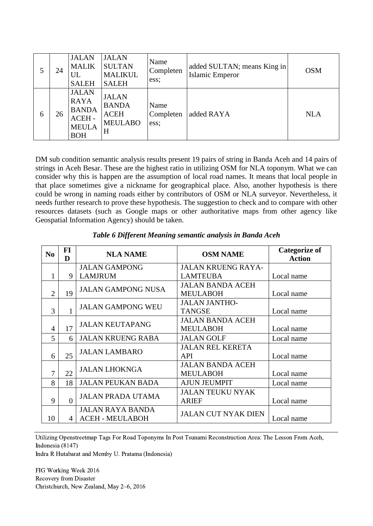|   | 24 | <b>JALAN</b><br><b>MALIK</b><br>UL<br><b>SALEH</b>                                 | <b>JALAN</b><br><b>SULTAN</b><br><b>MALIKUL</b><br><b>SALEH</b>    | Name<br>Completen<br>ess; | added SULTAN; means King in<br><b>Islamic Emperor</b> | <b>OSM</b> |
|---|----|------------------------------------------------------------------------------------|--------------------------------------------------------------------|---------------------------|-------------------------------------------------------|------------|
| 6 | 26 | <b>JALAN</b><br><b>RAYA</b><br><b>BANDA</b><br>ACEH-<br><b>MEULA</b><br><b>BOH</b> | <b>JALAN</b><br><b>BANDA</b><br><b>ACEH</b><br><b>MEULABO</b><br>H | Name<br>Completen<br>ess: | added RAYA                                            | <b>NLA</b> |

DM sub condition semantic analysis results present 19 pairs of string in Banda Aceh and 14 pairs of strings in Aceh Besar. These are the highest ratio in utilizing OSM for NLA toponym. What we can consider why this is happen are the assumption of local road names. It means that local people in that place sometimes give a nickname for geographical place. Also, another hypothesis is there could be wrong in naming roads either by contributors of OSM or NLA surveyor. Nevertheless, it needs further research to prove these hypothesis. The suggestion to check and to compare with other resources datasets (such as Google maps or other authoritative maps from other agency like Geospatial Information Agency) should be taken.

| N <sub>0</sub> | <b>FI</b> | <b>NLA NAME</b>           | <b>OSM NAME</b>            | <b>Categorize of</b> |
|----------------|-----------|---------------------------|----------------------------|----------------------|
|                | D         |                           |                            | <b>Action</b>        |
|                |           | <b>JALAN GAMPONG</b>      | <b>JALAN KRUENG RAYA-</b>  |                      |
|                | 9         | <b>LAMJRUM</b>            | <b>LAMTEUBA</b>            | Local name           |
|                |           | <b>JALAN GAMPONG NUSA</b> | <b>JALAN BANDA ACEH</b>    |                      |
| 2              | 19        |                           | <b>MEULABOH</b>            | Local name           |
|                |           | <b>JALAN GAMPONG WEU</b>  | <b>JALAN JANTHO-</b>       |                      |
| 3              |           |                           | <b>TANGSE</b>              | Local name           |
|                |           | <b>JALAN KEUTAPANG</b>    | <b>JALAN BANDA ACEH</b>    |                      |
| 4              | 17        |                           | <b>MEULABOH</b>            | Local name           |
| 5              | 6         | <b>JALAN KRUENG RABA</b>  | <b>JALAN GOLF</b>          | Local name           |
|                |           | <b>JALAN LAMBARO</b>      | <b>JALAN REL KERETA</b>    |                      |
| 6              | 25        |                           | <b>API</b>                 | Local name           |
|                |           | <b>JALAN LHOKNGA</b>      | <b>JALAN BANDA ACEH</b>    |                      |
| 7              | 22        |                           | <b>MEULABOH</b>            | Local name           |
| 8              | 18        | <b>JALAN PEUKAN BADA</b>  | <b>AJUN JEUMPIT</b>        | Local name           |
|                |           |                           | <b>JALAN TEUKU NYAK</b>    |                      |
| 9              | $\Omega$  | <b>JALAN PRADA UTAMA</b>  | <b>ARIEF</b>               | Local name           |
|                |           | <b>JALAN RAYA BANDA</b>   | <b>JALAN CUT NYAK DIEN</b> |                      |
| 10             | 4         | <b>ACEH - MEULABOH</b>    |                            | Local name           |

*Table 6 Different Meaning semantic analysis in Banda Aceh*

Utilizing Openstreetmap Tags For Road Toponyms In Post Tsunami Reconstruction Area: The Lesson From Aceh, Indonesia (8147)

Indra R Hutabarat and Memby U. Pratama (Indonesia)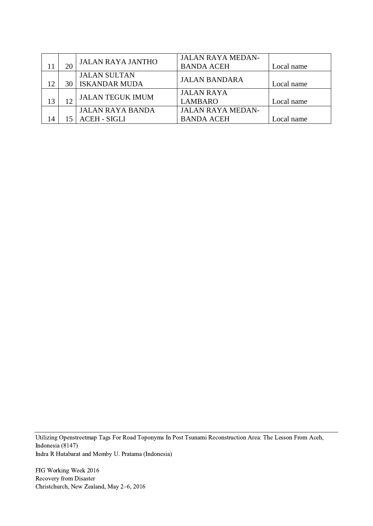|  | <b>JALAN RAYA JANTHO</b>  | <b>JALAN RAYA MEDAN-</b> |            |
|--|---------------------------|--------------------------|------------|
|  |                           | <b>BANDA ACEH</b>        | Local name |
|  | <b>JALAN SULTAN</b>       | <b>JALAN BANDARA</b>     |            |
|  | <b>30   ISKANDAR MUDA</b> |                          | Local name |
|  | <b>JALAN TEGUK IMUM</b>   | <b>JALAN RAYA</b>        |            |
|  |                           | <b>LAMBARO</b>           | Local name |
|  | <b>JALAN RAYA BANDA</b>   | <b>JALAN RAYA MEDAN-</b> |            |
|  | <b>ACEH - SIGLI</b>       | <b>BANDA ACEH</b>        | Local name |

Utilizing Openstreetmap Tags For Road Toponyms In Post Tsunami Reconstruction Area: The Lesson From Aceh, Indonesia (8147) Indra R Hutabarat and Memby U. Pratama (Indonesia)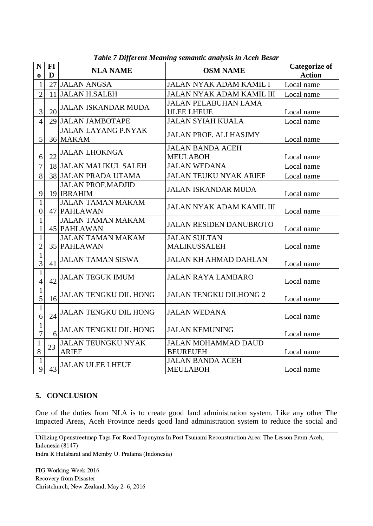| N<br>$\mathbf 0$                 | FI<br>D | <b>NLA NAME</b>                               | <b>OSM NAME</b>                                  | <b>Categorize of</b><br><b>Action</b> |
|----------------------------------|---------|-----------------------------------------------|--------------------------------------------------|---------------------------------------|
| $\mathbf{1}$                     |         | 27 JALAN ANGSA                                | JALAN NYAK ADAM KAMIL I                          | Local name                            |
| $\overline{2}$                   |         | 11 JALAN H.SALEH                              | <b>JALAN NYAK ADAM KAMIL III</b>                 | Local name                            |
| 3                                | 20      | <b>JALAN ISKANDAR MUDA</b>                    | <b>JALAN PELABUHAN LAMA</b><br><b>ULEE LHEUE</b> | Local name                            |
| $\overline{4}$                   |         | 29 JALAN JAMBOTAPE                            | <b>JALAN SYIAH KUALA</b>                         | Local name                            |
| 5                                |         | <b>JALAN LAYANG P.NYAK</b><br>36 MAKAM        | <b>JALAN PROF. ALI HASJMY</b>                    | Local name                            |
| 6                                | 22      | <b>JALAN LHOKNGA</b>                          | <b>JALAN BANDA ACEH</b><br><b>MEULABOH</b>       | Local name                            |
| $\overline{7}$                   |         | 18 JALAN MALIKUL SALEH                        | <b>JALAN WEDANA</b>                              | Local name                            |
| 8                                |         | 38 JALAN PRADA UTAMA                          | <b>JALAN TEUKU NYAK ARIEF</b>                    | Local name                            |
| 9                                |         | <b>JALAN PROF.MADJID</b><br>19 <b>IBRAHIM</b> | <b>JALAN ISKANDAR MUDA</b>                       | Local name                            |
| $\mathbf{1}$<br>$\boldsymbol{0}$ |         | <b>JALAN TAMAN MAKAM</b><br>47 PAHLAWAN       | JALAN NYAK ADAM KAMIL III                        | Local name                            |
| $\mathbf{1}$<br>1                |         | <b>JALAN TAMAN MAKAM</b><br>45 PAHLAWAN       | <b>JALAN RESIDEN DANUBROTO</b>                   | Local name                            |
| $\mathbf{1}$<br>$\overline{2}$   |         | <b>JALAN TAMAN MAKAM</b><br>35 PAHLAWAN       | <b>JALAN SULTAN</b><br>MALIKUSSALEH              | Local name                            |
| $\mathbf{1}$<br>$\overline{3}$   | 41      | <b>JALAN TAMAN SISWA</b>                      | <b>JALAN KH AHMAD DAHLAN</b>                     | Local name                            |
| $\mathbf{1}$<br>$\overline{4}$   | 42      | <b>JALAN TEGUK IMUM</b>                       | <b>JALAN RAYA LAMBARO</b>                        | Local name                            |
| $\mathbf{1}$<br>5                | 16      | <b>JALAN TENGKU DIL HONG</b>                  | <b>JALAN TENGKU DILHONG 2</b>                    | Local name                            |
| $\mathbf{1}$<br>6                | 24      | <b>JALAN TENGKU DIL HONG</b>                  | <b>JALAN WEDANA</b>                              | Local name                            |
| $\mathbf{1}$<br>$\overline{7}$   | 6       | <b>JALAN TENGKU DIL HONG</b>                  | <b>JALAN KEMUNING</b>                            | Local name                            |
| $\mathbf{1}$<br>$8\,$            | 23      | <b>JALAN TEUNGKU NYAK</b><br><b>ARIEF</b>     | <b>JALAN MOHAMMAD DAUD</b><br><b>BEUREUEH</b>    | Local name                            |
| $\mathbf{1}$<br>9                | 43      | <b>JALAN ULEE LHEUE</b>                       | <b>JALAN BANDA ACEH</b><br><b>MEULABOH</b>       | Local name                            |

*Table 7 Different Meaning semantic analysis in Aceh Besar*

### **5. CONCLUSION**

One of the duties from NLA is to create good land administration system. Like any other The Impacted Areas, Aceh Province needs good land administration system to reduce the social and

Utilizing Openstreetmap Tags For Road Toponyms In Post Tsunami Reconstruction Area: The Lesson From Aceh, Indonesia (8147)

Indra R Hutabarat and Memby U. Pratama (Indonesia)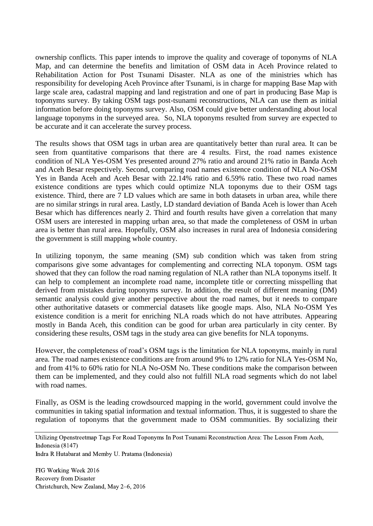ownership conflicts. This paper intends to improve the quality and coverage of toponyms of NLA Map, and can determine the benefits and limitation of OSM data in Aceh Province related to Rehabilitation Action for Post Tsunami Disaster. NLA as one of the ministries which has responsibility for developing Aceh Province after Tsunami, is in charge for mapping Base Map with large scale area, cadastral mapping and land registration and one of part in producing Base Map is toponyms survey. By taking OSM tags post-tsunami reconstructions, NLA can use them as initial information before doing toponyms survey. Also, OSM could give better understanding about local language toponyms in the surveyed area. So, NLA toponyms resulted from survey are expected to be accurate and it can accelerate the survey process.

The results shows that OSM tags in urban area are quantitatively better than rural area. It can be seen from quantitative comparisons that there are 4 results. First, the road names existence condition of NLA Yes-OSM Yes presented around 27% ratio and around 21% ratio in Banda Aceh and Aceh Besar respectively. Second, comparing road names existence condition of NLA No-OSM Yes in Banda Aceh and Aceh Besar with 22.14% ratio and 6.59% ratio. These two road names existence conditions are types which could optimize NLA toponyms due to their OSM tags existence. Third, there are 7 LD values which are same in both datasets in urban area, while there are no similar strings in rural area. Lastly, LD standard deviation of Banda Aceh is lower than Aceh Besar which has differences nearly 2. Third and fourth results have given a correlation that many OSM users are interested in mapping urban area, so that made the completeness of OSM in urban area is better than rural area. Hopefully, OSM also increases in rural area of Indonesia considering the government is still mapping whole country.

In utilizing toponym, the same meaning (SM) sub condition which was taken from string comparisons give some advantages for complementing and correcting NLA toponym. OSM tags showed that they can follow the road naming regulation of NLA rather than NLA toponyms itself. It can help to complement an incomplete road name, incomplete title or correcting misspelling that derived from mistakes during toponyms survey. In addition, the result of different meaning (DM) semantic analysis could give another perspective about the road names, but it needs to compare other authoritative datasets or commercial datasets like google maps. Also, NLA No-OSM Yes existence condition is a merit for enriching NLA roads which do not have attributes. Appearing mostly in Banda Aceh, this condition can be good for urban area particularly in city center. By considering these results, OSM tags in the study area can give benefits for NLA toponyms.

However, the completeness of road's OSM tags is the limitation for NLA toponyms, mainly in rural area. The road names existence conditions are from around 9% to 12% ratio for NLA Yes-OSM No, and from 41% to 60% ratio for NLA No-OSM No. These conditions make the comparison between them can be implemented, and they could also not fulfill NLA road segments which do not label with road names.

Finally, as OSM is the leading crowdsourced mapping in the world, government could involve the communities in taking spatial information and textual information. Thus, it is suggested to share the regulation of toponyms that the government made to OSM communities. By socializing their

Utilizing Openstreetmap Tags For Road Toponyms In Post Tsunami Reconstruction Area: The Lesson From Aceh, Indonesia (8147)

Indra R Hutabarat and Memby U. Pratama (Indonesia)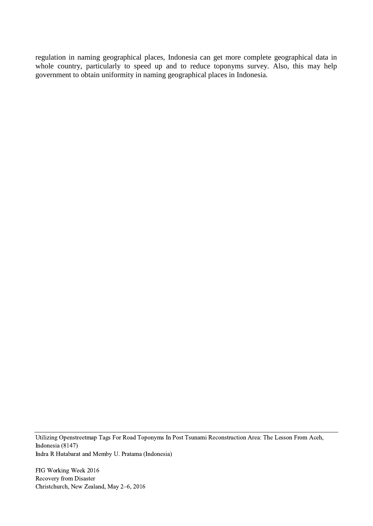regulation in naming geographical places, Indonesia can get more complete geographical data in whole country, particularly to speed up and to reduce toponyms survey. Also, this may help government to obtain uniformity in naming geographical places in Indonesia.

Utilizing Openstreetmap Tags For Road Toponyms In Post Tsunami Reconstruction Area: The Lesson From Aceh, Indonesia (8147) Indra R Hutabarat and Memby U. Pratama (Indonesia)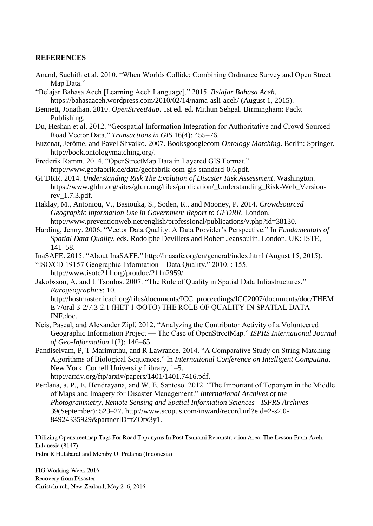#### **REFERENCES**

- Anand, Suchith et al. 2010. "When Worlds Collide: Combining Ordnance Survey and Open Street Map Data."
- "Belajar Bahasa Aceh [Learning Aceh Language]." 2015. *Belajar Bahasa Aceh*. https://bahasaaceh.wordpress.com/2010/02/14/nama-asli-aceh/ (August 1, 2015).
- Bennett, Jonathan. 2010. *OpenStreetMap*. 1st ed. ed. Mithun Sehgal. Birmingham: Packt Publishing.
- Du, Heshan et al. 2012. "Geospatial Information Integration for Authoritative and Crowd Sourced Road Vector Data." *Transactions in GIS* 16(4): 455–76.
- Euzenat, Jérôme, and Pavel Shvaiko. 2007. Booksgooglecom *Ontology Matching*. Berlin: Springer. http://book.ontologymatching.org/.
- Frederik Ramm. 2014. "OpenStreetMap Data in Layered GIS Format." http://www.geofabrik.de/data/geofabrik-osm-gis-standard-0.6.pdf.
- GFDRR. 2014. *Understanding Risk The Evolution of Disaster Risk Assessment*. Washington. https://www.gfdrr.org/sites/gfdrr.org/files/publication/\_Understanding\_Risk-Web\_Versionrev\_1.7.3.pdf.
- Haklay, M., Antoniou, V., Basiouka, S., Soden, R., and Mooney, P. 2014. *Crowdsourced Geographic Information Use in Government Report to GFDRR*. London. http://www.preventionweb.net/english/professional/publications/v.php?id=38130.
- Harding, Jenny. 2006. "Vector Data Quality: A Data Provider's Perspective." In *Fundamentals of Spatial Data Quality*, eds. Rodolphe Devillers and Robert Jeansoulin. London, UK: ISTE, 141–58.

InaSAFE. 2015. "About InaSAFE." http://inasafe.org/en/general/index.html (August 15, 2015).

- "ISO/CD 19157 Geographic Information Data Quality." 2010. : 155. http://www.isotc211.org/protdoc/211n2959/.
- Jakobsson, A, and L Tsoulos. 2007. "The Role of Quality in Spatial Data Infrastructures." *Eurogeographics*: 10. http://hostmaster.icaci.org/files/documents/ICC\_proceedings/ICC2007/documents/doc/THEM E 7/oral 3-2/7.3-2.1 (НЕТ 1 ФОТО) THE ROLE OF QUALITY IN SPATIAL DATA
	- INF.doc.
- Neis, Pascal, and Alexander Zipf. 2012. "Analyzing the Contributor Activity of a Volunteered Geographic Information Project — The Case of OpenStreetMap." *ISPRS International Journal of Geo-Information* 1(2): 146–65.
- Pandiselvam, P, T Marimuthu, and R Lawrance. 2014. "A Comparative Study on String Matching Algorithms of Biological Sequences." In *International Conference on Intelligent Computing*, New York: Cornell University Library, 1–5. http://arxiv.org/ftp/arxiv/papers/1401/1401.7416.pdf.
- Perdana, a. P., E. Hendrayana, and W. E. Santoso. 2012. "The Important of Toponym in the Middle of Maps and Imagery for Disaster Management." *International Archives of the Photogrammetry, Remote Sensing and Spatial Information Sciences - ISPRS Archives* 39(September): 523–27. http://www.scopus.com/inward/record.url?eid=2-s2.0- 84924335929&partnerID=tZOtx3y1.

Utilizing Openstreetmap Tags For Road Toponyms In Post Tsunami Reconstruction Area: The Lesson From Aceh, Indonesia (8147)

Indra R Hutabarat and Memby U. Pratama (Indonesia)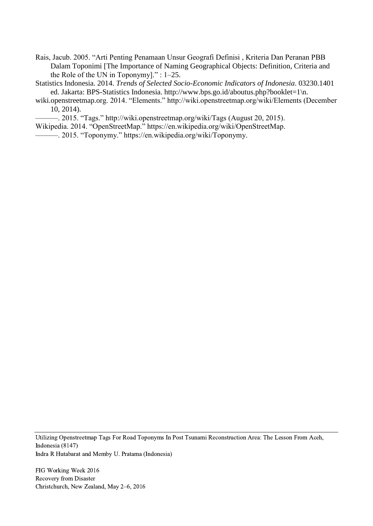Rais, Jacub. 2005. "Arti Penting Penamaan Unsur Geografi Definisi , Kriteria Dan Peranan PBB Dalam Toponimi [The Importance of Naming Geographical Objects: Definition, Criteria and the Role of the UN in Toponymy]." : 1–25.

Statistics Indonesia. 2014. *Trends of Selected Socio-Economic Indicators of Indonesia*. 03230.1401 ed. Jakarta: BPS-Statistics Indonesia. http://www.bps.go.id/aboutus.php?booklet=1\n.

wiki.openstreetmap.org. 2014. "Elements." http://wiki.openstreetmap.org/wiki/Elements (December 10, 2014).

———. 2015. "Tags." http://wiki.openstreetmap.org/wiki/Tags (August 20, 2015).

Wikipedia. 2014. "OpenStreetMap." https://en.wikipedia.org/wiki/OpenStreetMap.

———. 2015. "Toponymy." https://en.wikipedia.org/wiki/Toponymy.

Utilizing Openstreetmap Tags For Road Toponyms In Post Tsunami Reconstruction Area: The Lesson From Aceh, Indonesia (8147) Indra R Hutabarat and Memby U. Pratama (Indonesia)